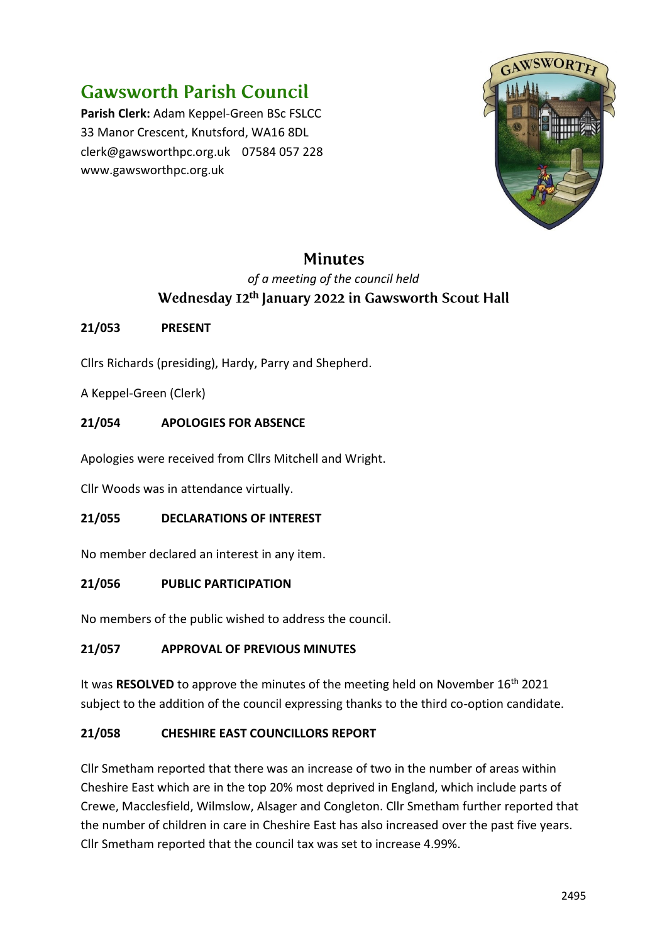# **Gawsworth Parish Council**

**Parish Clerk:** Adam Keppel-Green BSc FSLCC 33 Manor Crescent, Knutsford, WA16 8DL clerk@gawsworthpc.org.uk 07584 057 228 www.gawsworthpc.org.uk



# **Minutes**

# *of a meeting of the council held* Wednesday 12<sup>th</sup> January 2022 in Gawsworth Scout Hall

# **21/053 PRESENT**

Cllrs Richards (presiding), Hardy, Parry and Shepherd.

A Keppel-Green (Clerk)

# **21/054 APOLOGIES FOR ABSENCE**

Apologies were received from Cllrs Mitchell and Wright.

Cllr Woods was in attendance virtually.

## **21/055 DECLARATIONS OF INTEREST**

No member declared an interest in any item.

## **21/056 PUBLIC PARTICIPATION**

No members of the public wished to address the council.

# **21/057 APPROVAL OF PREVIOUS MINUTES**

It was **RESOLVED** to approve the minutes of the meeting held on November 16th 2021 subject to the addition of the council expressing thanks to the third co-option candidate.

# **21/058 CHESHIRE EAST COUNCILLORS REPORT**

Cllr Smetham reported that there was an increase of two in the number of areas within Cheshire East which are in the top 20% most deprived in England, which include parts of Crewe, Macclesfield, Wilmslow, Alsager and Congleton. Cllr Smetham further reported that the number of children in care in Cheshire East has also increased over the past five years. Cllr Smetham reported that the council tax was set to increase 4.99%.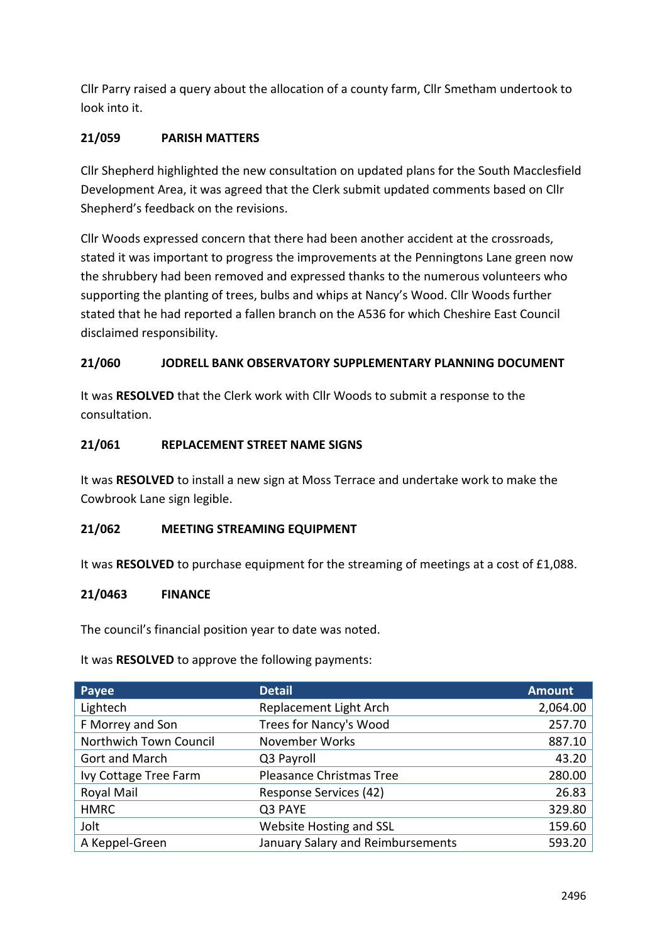Cllr Parry raised a query about the allocation of a county farm, Cllr Smetham undertook to look into it.

# **21/059 PARISH MATTERS**

Cllr Shepherd highlighted the new consultation on updated plans for the South Macclesfield Development Area, it was agreed that the Clerk submit updated comments based on Cllr Shepherd's feedback on the revisions.

Cllr Woods expressed concern that there had been another accident at the crossroads, stated it was important to progress the improvements at the Penningtons Lane green now the shrubbery had been removed and expressed thanks to the numerous volunteers who supporting the planting of trees, bulbs and whips at Nancy's Wood. Cllr Woods further stated that he had reported a fallen branch on the A536 for which Cheshire East Council disclaimed responsibility.

# **21/060 JODRELL BANK OBSERVATORY SUPPLEMENTARY PLANNING DOCUMENT**

It was **RESOLVED** that the Clerk work with Cllr Woods to submit a response to the consultation.

## **21/061 REPLACEMENT STREET NAME SIGNS**

It was **RESOLVED** to install a new sign at Moss Terrace and undertake work to make the Cowbrook Lane sign legible.

## **21/062 MEETING STREAMING EQUIPMENT**

It was **RESOLVED** to purchase equipment for the streaming of meetings at a cost of £1,088.

## **21/0463 FINANCE**

The council's financial position year to date was noted.

It was **RESOLVED** to approve the following payments:

| Payee                  | <b>Detail</b>                     | <b>Amount</b> |
|------------------------|-----------------------------------|---------------|
| Lightech               | Replacement Light Arch            | 2,064.00      |
| F Morrey and Son       | Trees for Nancy's Wood            | 257.70        |
| Northwich Town Council | November Works                    | 887.10        |
| Gort and March         | Q3 Payroll                        | 43.20         |
| Ivy Cottage Tree Farm  | Pleasance Christmas Tree          | 280.00        |
| Royal Mail             | Response Services (42)            | 26.83         |
| <b>HMRC</b>            | Q3 PAYE                           | 329.80        |
| Jolt                   | <b>Website Hosting and SSL</b>    | 159.60        |
| A Keppel-Green         | January Salary and Reimbursements | 593.20        |